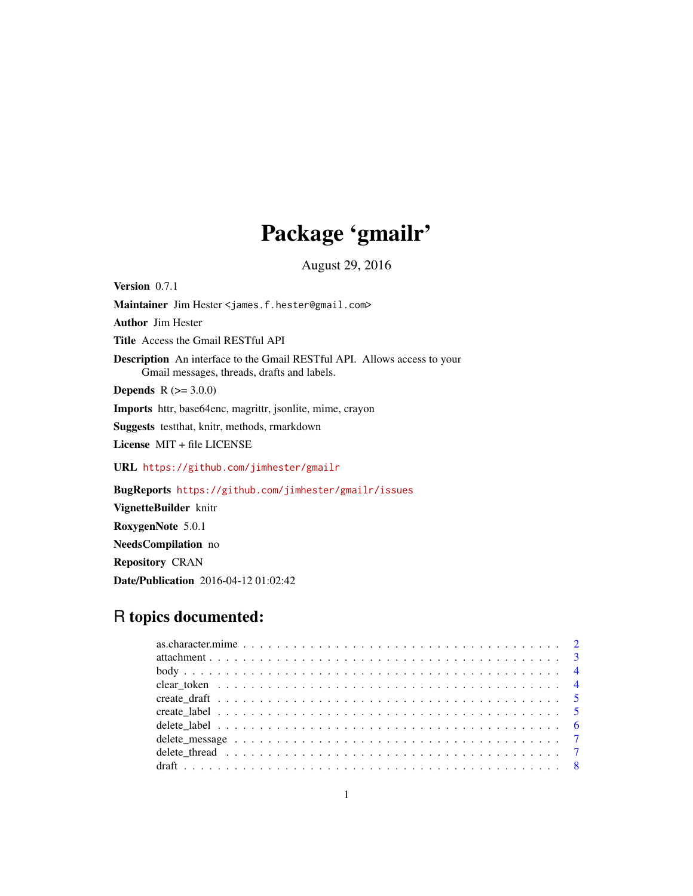# Package 'gmailr'

August 29, 2016

Version 0.7.1 Maintainer Jim Hester <james.f.hester@gmail.com> Author Jim Hester Title Access the Gmail RESTful API Description An interface to the Gmail RESTful API. Allows access to your Gmail messages, threads, drafts and labels. **Depends** R  $(>= 3.0.0)$ Imports httr, base64enc, magrittr, jsonlite, mime, crayon Suggests testthat, knitr, methods, rmarkdown License MIT + file LICENSE URL <https://github.com/jimhester/gmailr> BugReports <https://github.com/jimhester/gmailr/issues> VignetteBuilder knitr RoxygenNote 5.0.1 NeedsCompilation no

Repository CRAN

Date/Publication 2016-04-12 01:02:42

# R topics documented: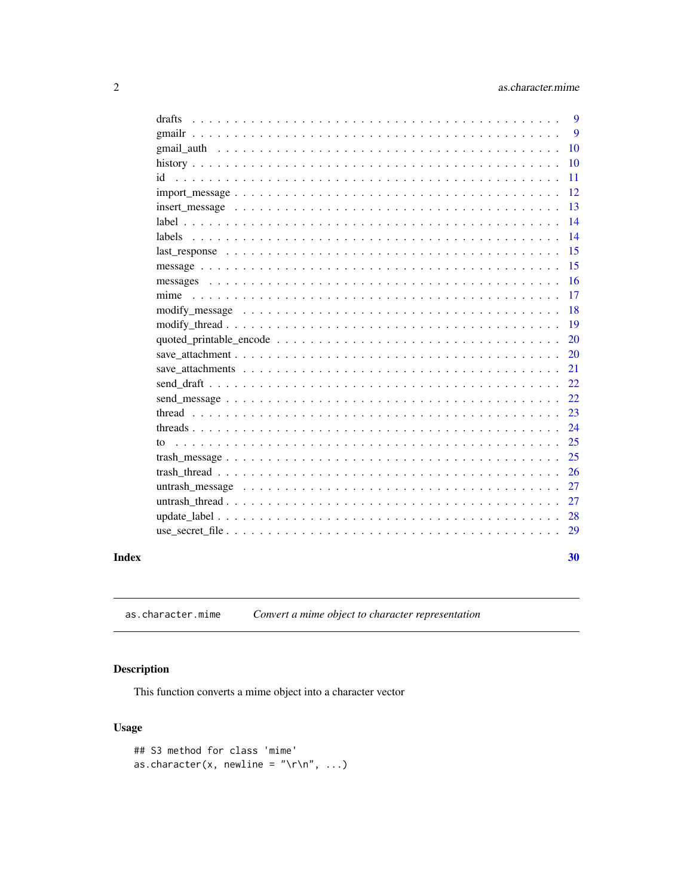#### as.character.mime

<span id="page-1-0"></span>

| drafts | 9  |
|--------|----|
|        | 9  |
|        | 10 |
|        | 10 |
|        | 11 |
|        | 12 |
|        | 13 |
|        | 14 |
| labels | 14 |
|        | 15 |
|        | 15 |
|        | 16 |
|        | 17 |
|        | 18 |
|        | 19 |
|        | 20 |
|        | 20 |
|        | 21 |
|        | 22 |
|        | 22 |
|        | 23 |
|        | 24 |
| to     | 25 |
|        | 25 |
|        | 26 |
|        | 27 |
|        | 27 |
|        | 28 |
|        | 29 |
|        |    |
|        | 30 |

# **Index**

Convert a mime object to character representation as.character.mime

# Description

This function converts a mime object into a character vector

# **Usage**

```
## S3 method for class 'mime'
as.character(x, newline = "\r\n", ...)
```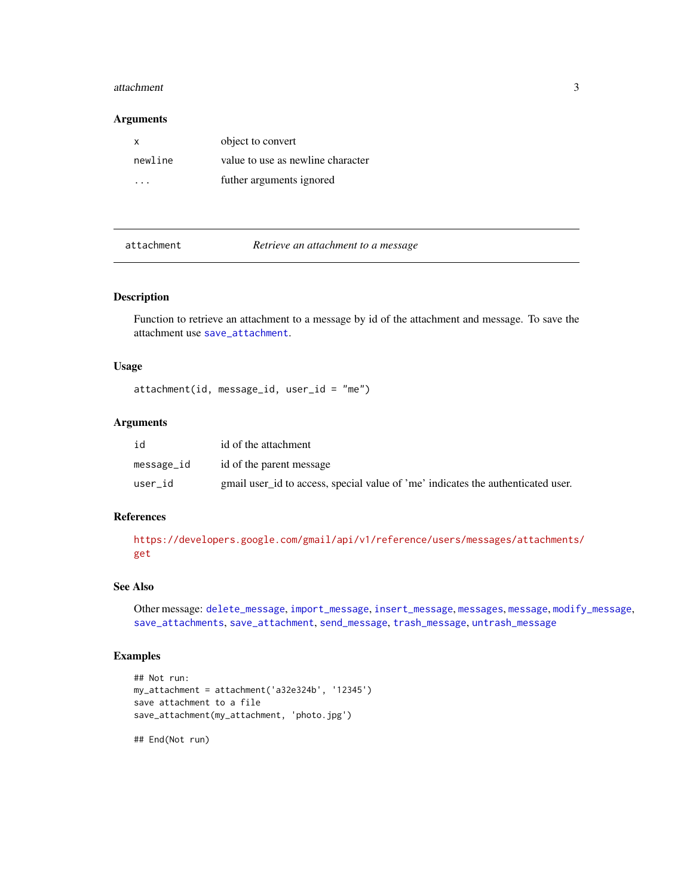#### <span id="page-2-0"></span>attachment 3

#### Arguments

| х       | object to convert                 |
|---------|-----------------------------------|
| newline | value to use as newline character |
|         | futher arguments ignored          |

<span id="page-2-1"></span>attachment *Retrieve an attachment to a message*

## Description

Function to retrieve an attachment to a message by id of the attachment and message. To save the attachment use [save\\_attachment](#page-19-1).

#### Usage

attachment(id, message\_id, user\_id = "me")

#### Arguments

| id         | id of the attachment                                                             |
|------------|----------------------------------------------------------------------------------|
| message_id | id of the parent message                                                         |
| user id    | gmail user id to access, special value of 'me' indicates the authenticated user. |

#### References

[https://developers.google.com/gmail/api/v1/reference/users/messages/attachments/](https://developers.google.com/gmail/api/v1/reference/users/messages/attachments/get) [get](https://developers.google.com/gmail/api/v1/reference/users/messages/attachments/get)

#### See Also

Other message: [delete\\_message](#page-6-1), [import\\_message](#page-11-1), [insert\\_message](#page-12-1), [messages](#page-15-1), [message](#page-14-1), [modify\\_message](#page-17-1), [save\\_attachments](#page-20-1), [save\\_attachment](#page-19-1), [send\\_message](#page-21-1), [trash\\_message](#page-24-1), [untrash\\_message](#page-26-1)

# Examples

```
## Not run:
my_attachment = attachment('a32e324b', '12345')
save attachment to a file
save_attachment(my_attachment, 'photo.jpg')
```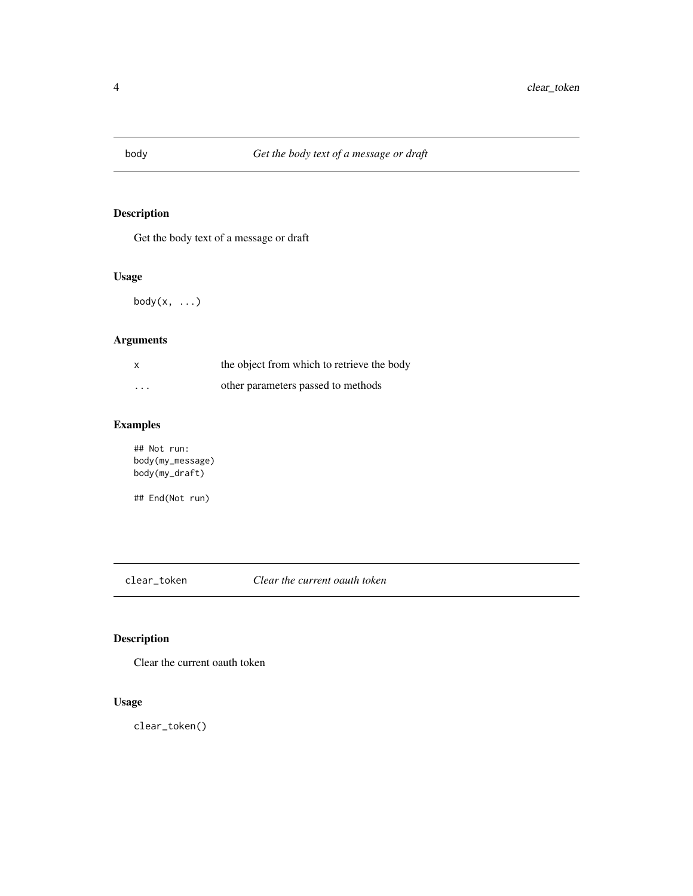<span id="page-3-0"></span>

Get the body text of a message or draft

## Usage

 $body(x, \ldots)$ 

## Arguments

| $\mathsf{x}$ | the object from which to retrieve the body |
|--------------|--------------------------------------------|
| $\cdots$     | other parameters passed to methods         |

# Examples

## Not run: body(my\_message) body(my\_draft)

## End(Not run)

clear\_token *Clear the current oauth token*

# Description

Clear the current oauth token

# Usage

clear\_token()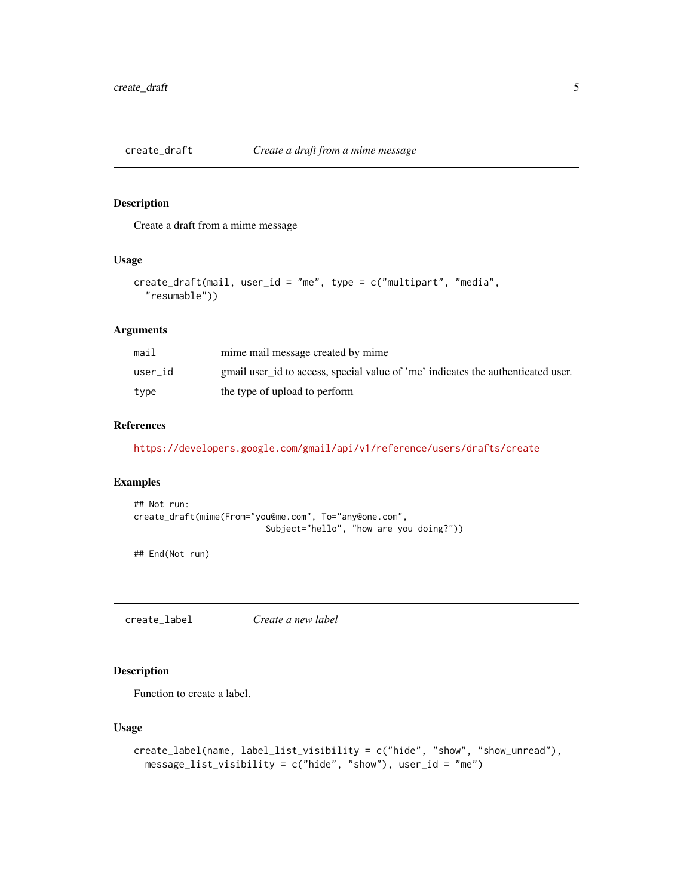<span id="page-4-0"></span>

Create a draft from a mime message

#### Usage

```
create_draft(mail, user_id = "me", type = c("multipart", "media",
  "resumable"))
```
## Arguments

| mail    | mime mail message created by mime                                                |
|---------|----------------------------------------------------------------------------------|
| user id | gmail user id to access, special value of 'me' indicates the authenticated user. |
| type    | the type of upload to perform                                                    |

#### References

<https://developers.google.com/gmail/api/v1/reference/users/drafts/create>

# Examples

```
## Not run:
create_draft(mime(From="you@me.com", To="any@one.com",
                          Subject="hello", "how are you doing?"))
```
## End(Not run)

<span id="page-4-1"></span>create\_label *Create a new label*

# Description

Function to create a label.

#### Usage

```
create_label(name, label_list_visibility = c("hide", "show", "show_unread"),
 message_list_visibility = c("hide", "show"), user_id = "me")
```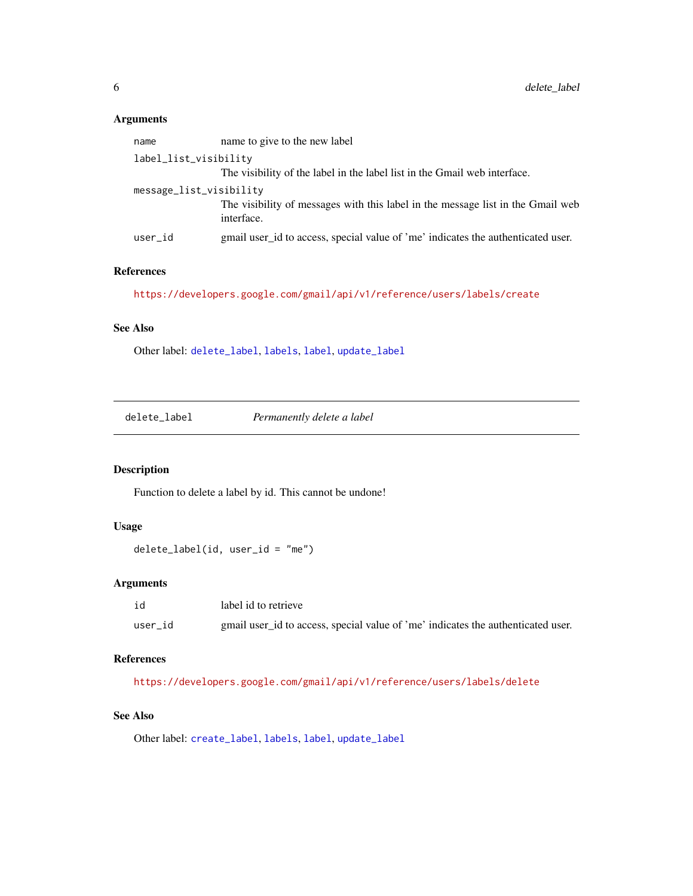### <span id="page-5-0"></span>Arguments

| name                    | name to give to the new label                                                                 |
|-------------------------|-----------------------------------------------------------------------------------------------|
| label_list_visibility   |                                                                                               |
|                         | The visibility of the label in the label list in the Gmail web interface.                     |
| message_list_visibility |                                                                                               |
|                         | The visibility of messages with this label in the message list in the Gmail web<br>interface. |
| user id                 | gmail user id to access, special value of 'me' indicates the authenticated user.              |

### References

```
https://developers.google.com/gmail/api/v1/reference/users/labels/create
```
### See Also

Other label: [delete\\_label](#page-5-1), [labels](#page-13-1), [label](#page-13-2), [update\\_label](#page-27-1)

<span id="page-5-1"></span>delete\_label *Permanently delete a label*

## Description

Function to delete a label by id. This cannot be undone!

# Usage

```
delete_label(id, user_id = "me")
```
# Arguments

| id      | label id to retrieve                                                             |
|---------|----------------------------------------------------------------------------------|
| user id | gmail user_id to access, special value of 'me' indicates the authenticated user. |

#### References

<https://developers.google.com/gmail/api/v1/reference/users/labels/delete>

# See Also

Other label: [create\\_label](#page-4-1), [labels](#page-13-1), [label](#page-13-2), [update\\_label](#page-27-1)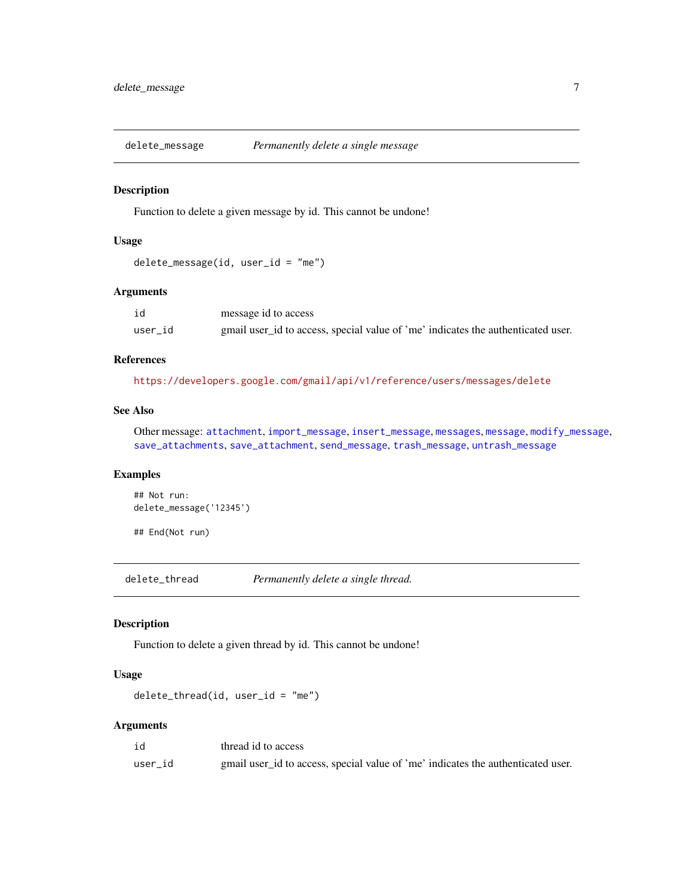<span id="page-6-1"></span><span id="page-6-0"></span>

Function to delete a given message by id. This cannot be undone!

#### Usage

```
delete_message(id, user_id = "me")
```
# Arguments

| id      | message id to access                                                             |
|---------|----------------------------------------------------------------------------------|
| user id | gmail user_id to access, special value of 'me' indicates the authenticated user. |

#### References

<https://developers.google.com/gmail/api/v1/reference/users/messages/delete>

# See Also

Other message: [attachment](#page-2-1), [import\\_message](#page-11-1), [insert\\_message](#page-12-1), [messages](#page-15-1), [message](#page-14-1), [modify\\_message](#page-17-1), [save\\_attachments](#page-20-1), [save\\_attachment](#page-19-1), [send\\_message](#page-21-1), [trash\\_message](#page-24-1), [untrash\\_message](#page-26-1)

# Examples

```
## Not run:
delete_message('12345')
```
## End(Not run)

<span id="page-6-2"></span>delete\_thread *Permanently delete a single thread.*

#### Description

Function to delete a given thread by id. This cannot be undone!

#### Usage

 $delete_{thread(id, user_id = "me")$ 

#### Arguments

| id      | thread id to access                                                              |
|---------|----------------------------------------------------------------------------------|
| user id | gmail user_id to access, special value of 'me' indicates the authenticated user. |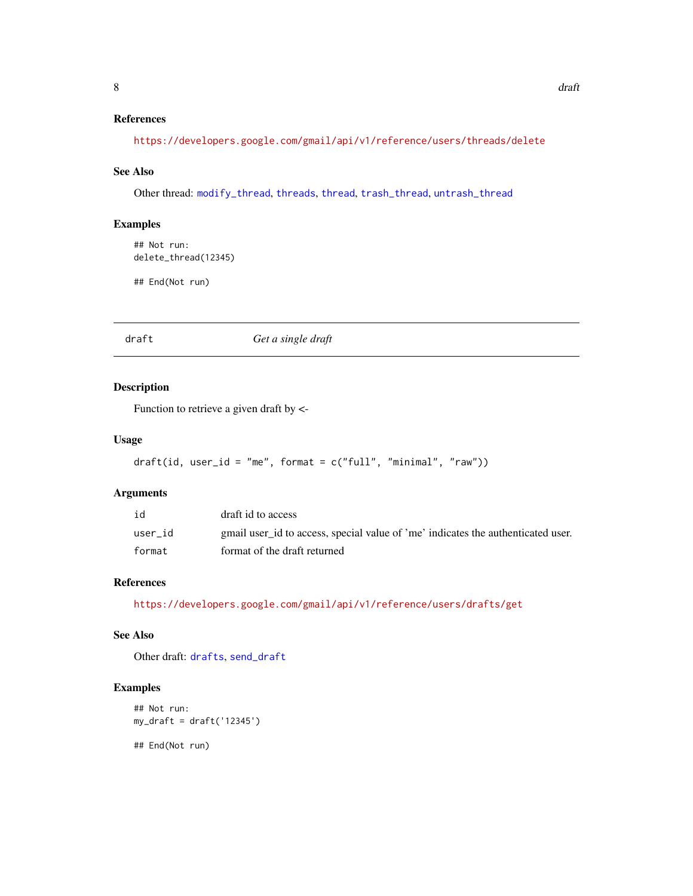# <span id="page-7-0"></span>References

<https://developers.google.com/gmail/api/v1/reference/users/threads/delete>

#### See Also

Other thread: [modify\\_thread](#page-18-1), [threads](#page-23-1), [thread](#page-22-1), [trash\\_thread](#page-25-1), [untrash\\_thread](#page-26-2)

#### Examples

```
## Not run:
delete_thread(12345)
```
## End(Not run)

<span id="page-7-1"></span>draft *Get a single draft*

#### Description

Function to retrieve a given draft by <-

#### Usage

```
draff(id, user_id = "me", format = c("full", "minimal", "raw")
```
#### Arguments

| id      | draft id to access                                                               |
|---------|----------------------------------------------------------------------------------|
| user id | gmail user id to access, special value of 'me' indicates the authenticated user. |
| format  | format of the draft returned                                                     |

# References

<https://developers.google.com/gmail/api/v1/reference/users/drafts/get>

# See Also

Other draft: [drafts](#page-8-1), [send\\_draft](#page-21-2)

## Examples

```
## Not run:
my_draft = draft('12345')
## End(Not run)
```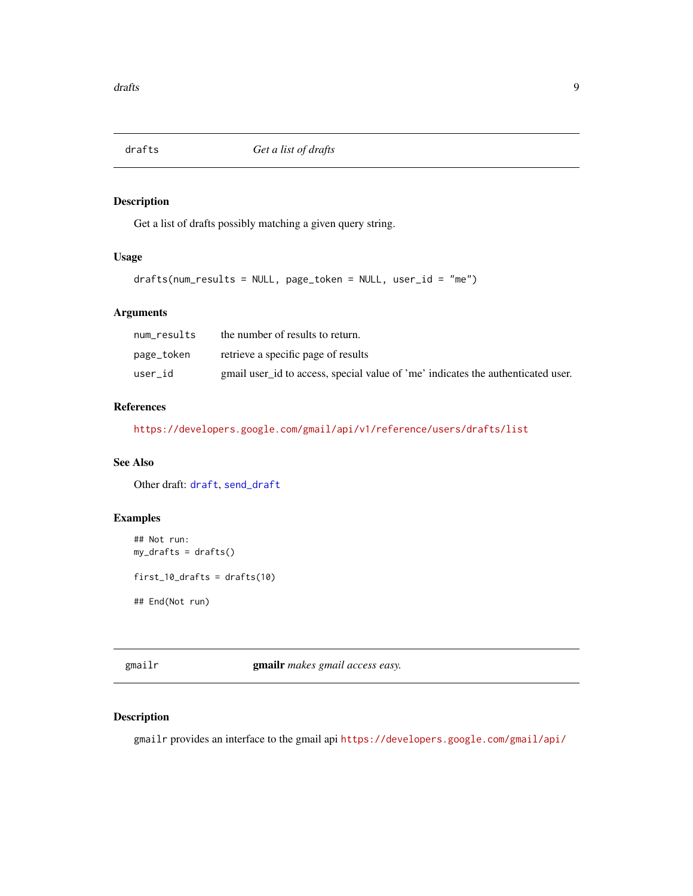<span id="page-8-1"></span><span id="page-8-0"></span>

Get a list of drafts possibly matching a given query string.

# Usage

drafts(num\_results = NULL, page\_token = NULL, user\_id = "me")

#### Arguments

| num results | the number of results to return.                                                 |
|-------------|----------------------------------------------------------------------------------|
| page_token  | retrieve a specific page of results                                              |
| user id     | gmail user id to access, special value of 'me' indicates the authenticated user. |

#### References

<https://developers.google.com/gmail/api/v1/reference/users/drafts/list>

# See Also

Other draft: [draft](#page-7-1), [send\\_draft](#page-21-2)

# Examples

```
## Not run:
my\_drafts = drafts()first_10_drafts = drafts(10)
## End(Not run)
```
gmailr gmailr *makes gmail access easy.*

## Description

gmailr provides an interface to the gmail api <https://developers.google.com/gmail/api/>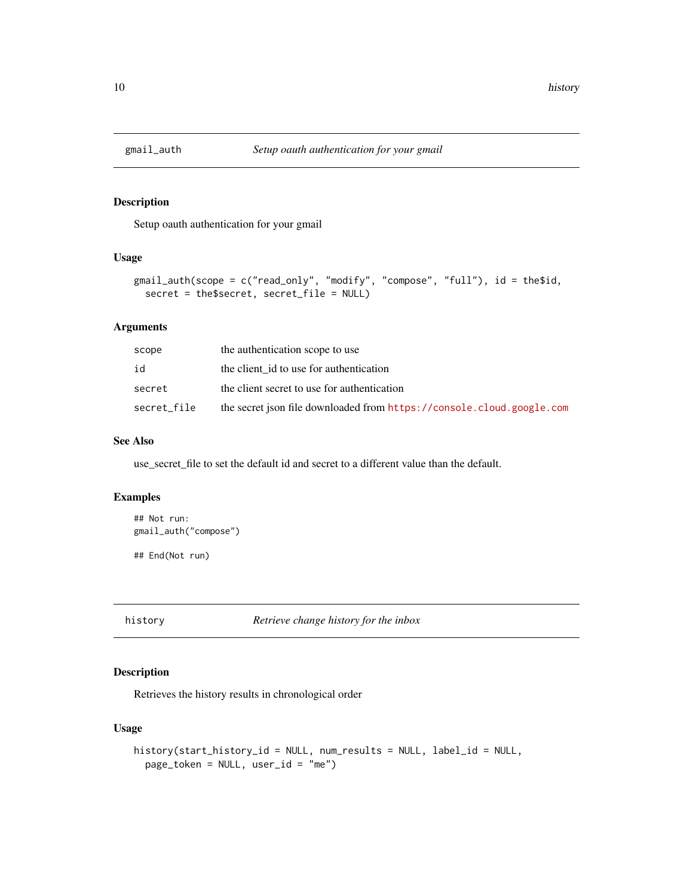<span id="page-9-0"></span>

Setup oauth authentication for your gmail

#### Usage

```
gmail_auth(scope = c("read_only", "modify", "compose", "full"), id = the$id,
  secret = the$secret, secret_file = NULL)
```
# Arguments

| scope       | the authentication scope to use                                       |
|-------------|-----------------------------------------------------------------------|
| id          | the client id to use for authentication                               |
| secret      | the client secret to use for authentication                           |
| secret_file | the secret json file downloaded from https://console.cloud.google.com |

#### See Also

use\_secret\_file to set the default id and secret to a different value than the default.

## Examples

```
## Not run:
gmail_auth("compose")
```
## End(Not run)

history *Retrieve change history for the inbox*

# Description

Retrieves the history results in chronological order

#### Usage

```
history(start_history_id = NULL, num_results = NULL, label_id = NULL,
 page_token = NULL, user_id = "me")
```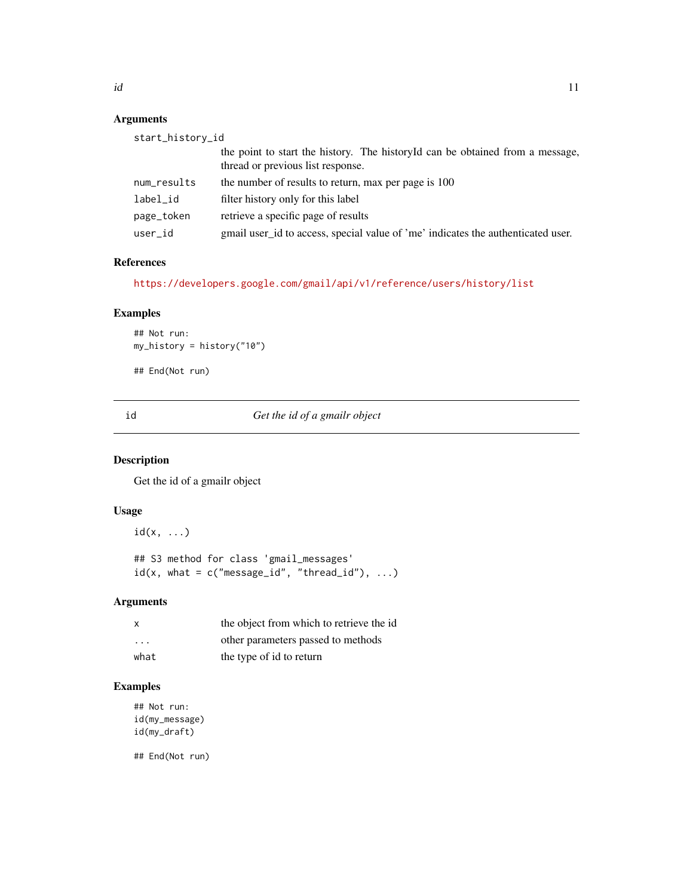# <span id="page-10-0"></span>Arguments

| start_history_id |                                                                                                                    |
|------------------|--------------------------------------------------------------------------------------------------------------------|
|                  | the point to start the history. The historyId can be obtained from a message,<br>thread or previous list response. |
| num_results      | the number of results to return, max per page is 100                                                               |
| label_id         | filter history only for this label                                                                                 |
| page_token       | retrieve a specific page of results                                                                                |
| user_id          | gmail user_id to access, special value of 'me' indicates the authenticated user.                                   |

#### References

<https://developers.google.com/gmail/api/v1/reference/users/history/list>

## Examples

```
## Not run:
my_history = history("10")
```
## End(Not run)

id *Get the id of a gmailr object*

# Description

Get the id of a gmailr object

# Usage

 $id(x, \ldots)$ 

## S3 method for class 'gmail\_messages'  $id(x, what = c("message_id", "thread_id"), ...)$ 

## Arguments

| $\mathsf{x}$            | the object from which to retrieve the id |
|-------------------------|------------------------------------------|
| $\cdot$ $\cdot$ $\cdot$ | other parameters passed to methods       |
| what                    | the type of id to return                 |

# Examples

```
## Not run:
id(my_message)
id(my_draft)
```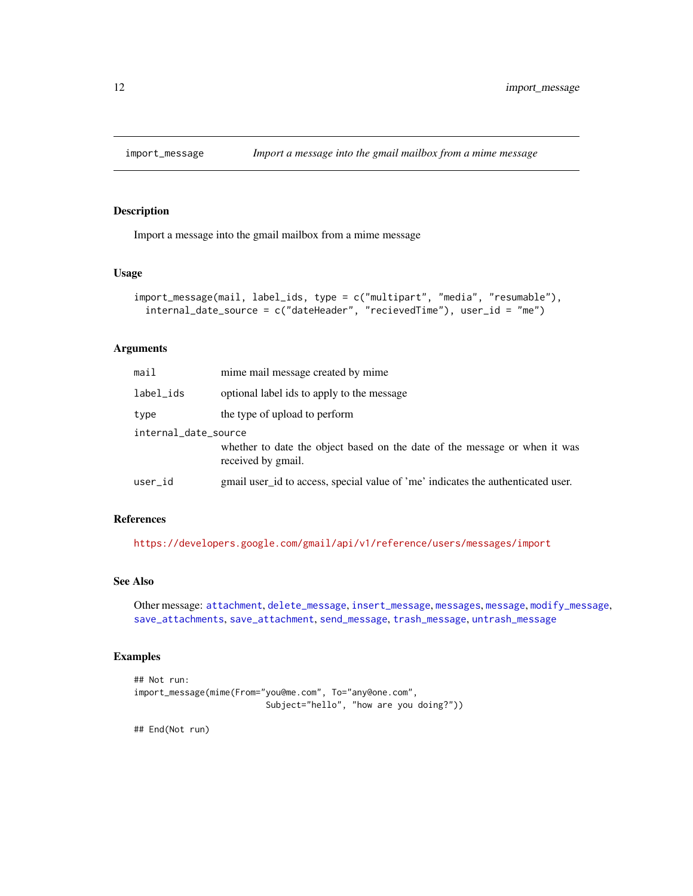<span id="page-11-1"></span><span id="page-11-0"></span>

Import a message into the gmail mailbox from a mime message

#### Usage

```
import_message(mail, label_ids, type = c("multipart", "media", "resumable"),
  internal_date_source = c("dateHeader", "recievedTime"), user_id = "me")
```
#### Arguments

| mail                 | mime mail message created by mime                                                                |
|----------------------|--------------------------------------------------------------------------------------------------|
| label_ids            | optional label ids to apply to the message                                                       |
| type                 | the type of upload to perform                                                                    |
| internal_date_source |                                                                                                  |
|                      | whether to date the object based on the date of the message or when it was<br>received by gmail. |
| user_id              | gmail user_id to access, special value of 'me' indicates the authenticated user.                 |
|                      |                                                                                                  |

#### References

<https://developers.google.com/gmail/api/v1/reference/users/messages/import>

# See Also

```
Other message: attachment, delete_message, insert_message, messages, message, modify_message,
save_attachments, save_attachment, send_message, trash_message, untrash_message
```
#### Examples

```
## Not run:
import_message(mime(From="you@me.com", To="any@one.com",
                          Subject="hello", "how are you doing?"))
```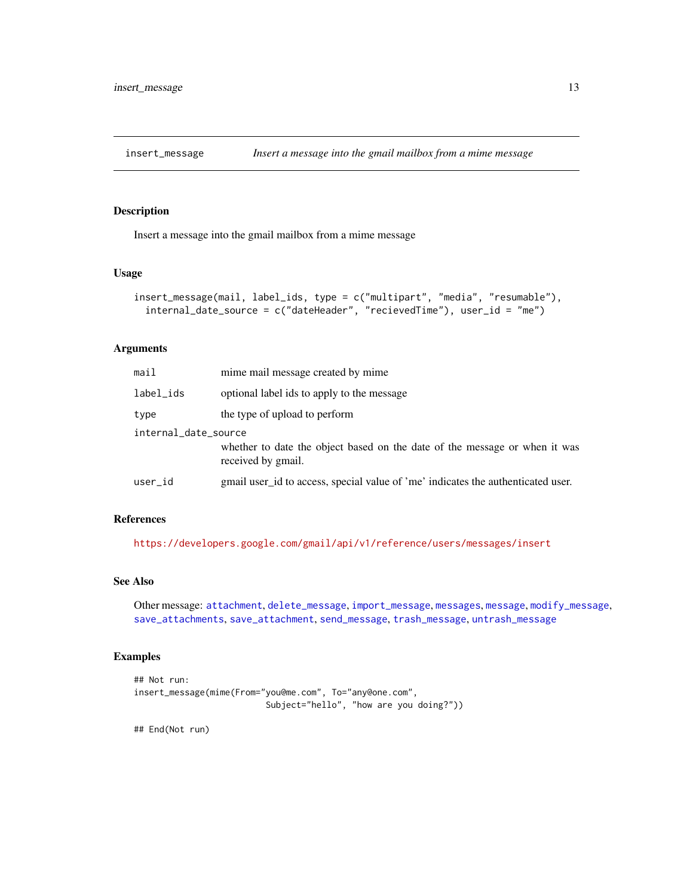<span id="page-12-1"></span><span id="page-12-0"></span>

Insert a message into the gmail mailbox from a mime message

#### Usage

```
insert_message(mail, label_ids, type = c("multipart", "media", "resumable"),
 internal_date_source = c("dateHeader", "recievedTime"), user_id = "me")
```
#### Arguments

| mail                 | mime mail message created by mime                                                                |  |
|----------------------|--------------------------------------------------------------------------------------------------|--|
| label_ids            | optional label ids to apply to the message                                                       |  |
| type                 | the type of upload to perform                                                                    |  |
| internal_date_source |                                                                                                  |  |
|                      | whether to date the object based on the date of the message or when it was<br>received by gmail. |  |
| user_id              | gmail user id to access, special value of 'me' indicates the authenticated user.                 |  |
|                      |                                                                                                  |  |

#### References

<https://developers.google.com/gmail/api/v1/reference/users/messages/insert>

# See Also

```
Other message: attachment, delete_message, import_message, messages, message, modify_message,
save_attachments, save_attachment, send_message, trash_message, untrash_message
```
#### Examples

```
## Not run:
insert_message(mime(From="you@me.com", To="any@one.com",
                          Subject="hello", "how are you doing?"))
```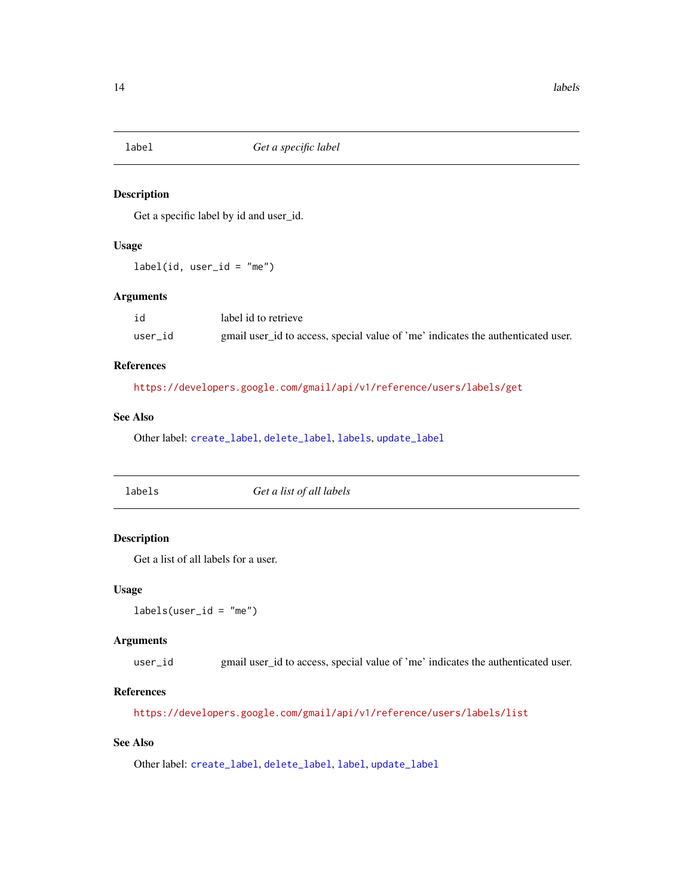<span id="page-13-2"></span><span id="page-13-0"></span>

Get a specific label by id and user\_id.

## Usage

 $label(id, user_id = "me")$ 

## Arguments

| id      | label id to retrieve                                                             |
|---------|----------------------------------------------------------------------------------|
| user id | gmail user id to access, special value of 'me' indicates the authenticated user. |

# References

<https://developers.google.com/gmail/api/v1/reference/users/labels/get>

# See Also

Other label: [create\\_label](#page-4-1), [delete\\_label](#page-5-1), [labels](#page-13-1), [update\\_label](#page-27-1)

<span id="page-13-1"></span>

| labels | Get a list of all labels |  |
|--------|--------------------------|--|
|--------|--------------------------|--|

# Description

Get a list of all labels for a user.

#### Usage

 $labels(user_id = "me")$ 

## Arguments

user\_id gmail user\_id to access, special value of 'me' indicates the authenticated user.

### References

<https://developers.google.com/gmail/api/v1/reference/users/labels/list>

# See Also

Other label: [create\\_label](#page-4-1), [delete\\_label](#page-5-1), [label](#page-13-2), [update\\_label](#page-27-1)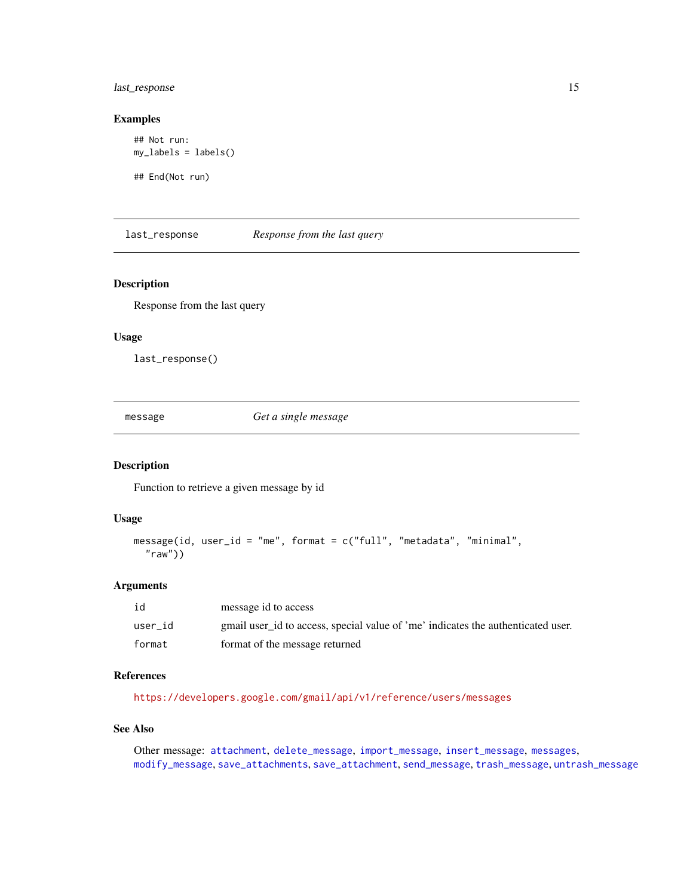## <span id="page-14-0"></span>last\_response 15

#### Examples

```
## Not run:
my_labels = labels()
```
## End(Not run)

last\_response *Response from the last query*

#### Description

Response from the last query

## Usage

last\_response()

<span id="page-14-1"></span>message *Get a single message*

## Description

Function to retrieve a given message by id

#### Usage

```
message(id, user_id = "me", format = c("full", "metadata", "minimal",
  "raw")
```
# Arguments

| id      | message id to access                                                             |
|---------|----------------------------------------------------------------------------------|
| user id | gmail user_id to access, special value of 'me' indicates the authenticated user. |
| format  | format of the message returned                                                   |

# References

<https://developers.google.com/gmail/api/v1/reference/users/messages>

#### See Also

Other message: [attachment](#page-2-1), [delete\\_message](#page-6-1), [import\\_message](#page-11-1), [insert\\_message](#page-12-1), [messages](#page-15-1), [modify\\_message](#page-17-1), [save\\_attachments](#page-20-1), [save\\_attachment](#page-19-1), [send\\_message](#page-21-1), [trash\\_message](#page-24-1), [untrash\\_message](#page-26-1)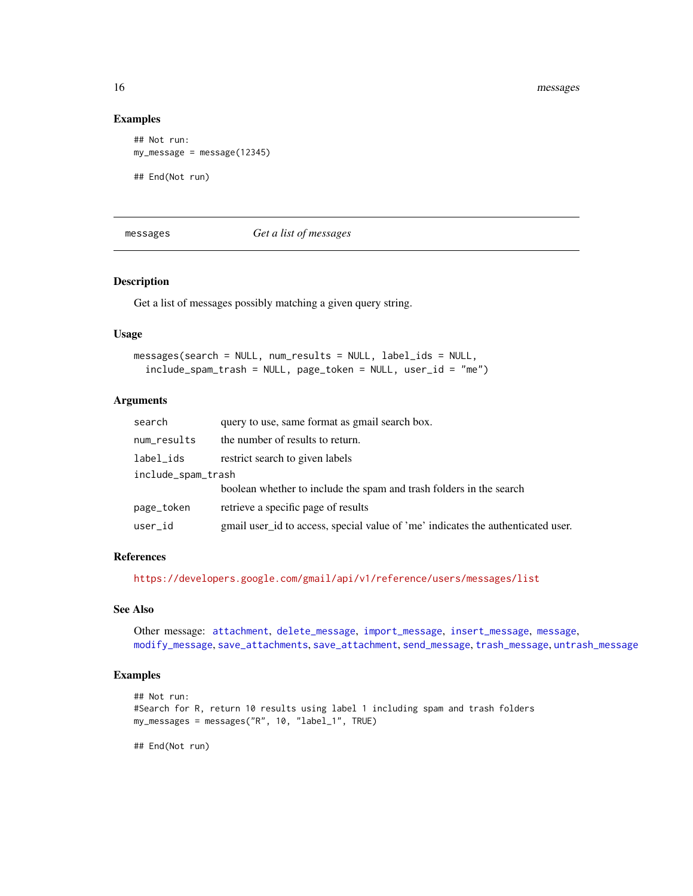#### Examples

```
## Not run:
my_message = message(12345)
## End(Not run)
```
<span id="page-15-1"></span>messages *Get a list of messages*

#### Description

Get a list of messages possibly matching a given query string.

#### Usage

```
messages(search = NULL, num_results = NULL, label_ids = NULL,
  include\_spam\_track = NULL, page\_token = NULL, user_id = "me")
```
#### Arguments

| search             | query to use, same format as gmail search box.                                   |  |
|--------------------|----------------------------------------------------------------------------------|--|
| num_results        | the number of results to return.                                                 |  |
| label_ids          | restrict search to given labels                                                  |  |
| include_spam_trash |                                                                                  |  |
|                    | boolean whether to include the spam and trash folders in the search              |  |
| page_token         | retrieve a specific page of results                                              |  |
| user_id            | gmail user id to access, special value of 'me' indicates the authenticated user. |  |

#### References

<https://developers.google.com/gmail/api/v1/reference/users/messages/list>

## See Also

Other message: [attachment](#page-2-1), [delete\\_message](#page-6-1), [import\\_message](#page-11-1), [insert\\_message](#page-12-1), [message](#page-14-1), [modify\\_message](#page-17-1), [save\\_attachments](#page-20-1), [save\\_attachment](#page-19-1), [send\\_message](#page-21-1), [trash\\_message](#page-24-1), [untrash\\_message](#page-26-1)

# Examples

```
## Not run:
#Search for R, return 10 results using label 1 including spam and trash folders
my_messages = messages("R", 10, "label_1", TRUE)
```
<span id="page-15-0"></span>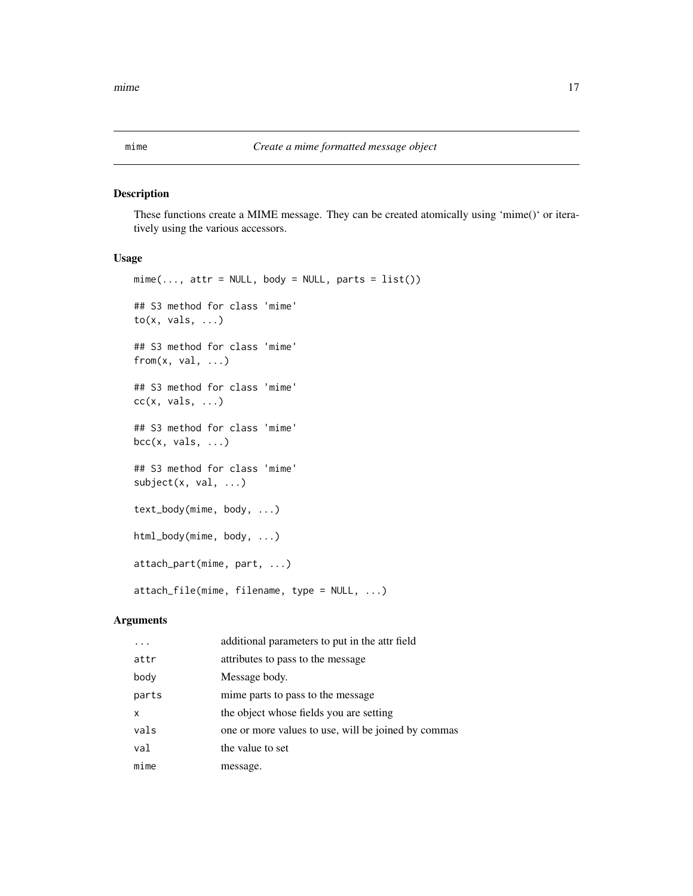<span id="page-16-0"></span>

These functions create a MIME message. They can be created atomically using 'mime()' or iteratively using the various accessors.

#### Usage

```
mime(..., attr = NULL, body = NULL, parts = list())## S3 method for class 'mime'
to(x, vals, \ldots)## S3 method for class 'mime'
from(x, val, ...)## S3 method for class 'mime'
cc(x, vals, ...)## S3 method for class 'mime'
bcc(x, vals, ...)## S3 method for class 'mime'
subject(x, val, ...)
text_body(mime, body, ...)
html_body(mime, body, ...)
attach_part(mime, part, ...)
attach_file(mime, filename, type = NULL, ...)
```
#### Arguments

|       | additional parameters to put in the attr field      |
|-------|-----------------------------------------------------|
| attr  | attributes to pass to the message                   |
| body  | Message body.                                       |
| parts | mime parts to pass to the message.                  |
| X     | the object whose fields you are setting             |
| vals  | one or more values to use, will be joined by commas |
| val   | the value to set                                    |
| mime  | message.                                            |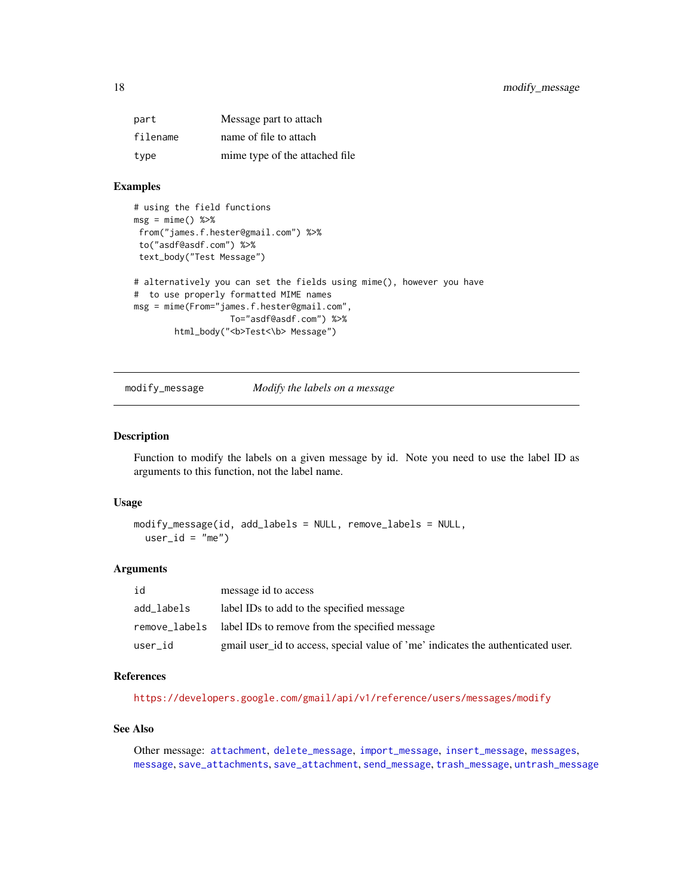<span id="page-17-0"></span>

| part     | Message part to attach         |
|----------|--------------------------------|
| filename | name of file to attach         |
| type     | mime type of the attached file |

# Examples

```
# using the field functions
msg = mine() %>\%from("james.f.hester@gmail.com") %>%
 to("asdf@asdf.com") %>%
 text_body("Test Message")
# alternatively you can set the fields using mime(), however you have
# to use properly formatted MIME names
msg = mime(From="james.f.hester@gmail.com",
                  To="asdf@asdf.com") %>%
       html_body("<b>Test<\b> Message")
```
<span id="page-17-1"></span>

modify\_message *Modify the labels on a message*

#### Description

Function to modify the labels on a given message by id. Note you need to use the label ID as arguments to this function, not the label name.

#### Usage

```
modify_message(id, add_labels = NULL, remove_labels = NULL,
 user_id = "me")
```
#### Arguments

| id         | message id to access                                                             |
|------------|----------------------------------------------------------------------------------|
| add_labels | label IDs to add to the specified message                                        |
|            | remove_labels label IDs to remove from the specified message                     |
| user_id    | gmail user id to access, special value of 'me' indicates the authenticated user. |

#### References

<https://developers.google.com/gmail/api/v1/reference/users/messages/modify>

#### See Also

Other message: [attachment](#page-2-1), [delete\\_message](#page-6-1), [import\\_message](#page-11-1), [insert\\_message](#page-12-1), [messages](#page-15-1), [message](#page-14-1), [save\\_attachments](#page-20-1), [save\\_attachment](#page-19-1), [send\\_message](#page-21-1), [trash\\_message](#page-24-1), [untrash\\_message](#page-26-1)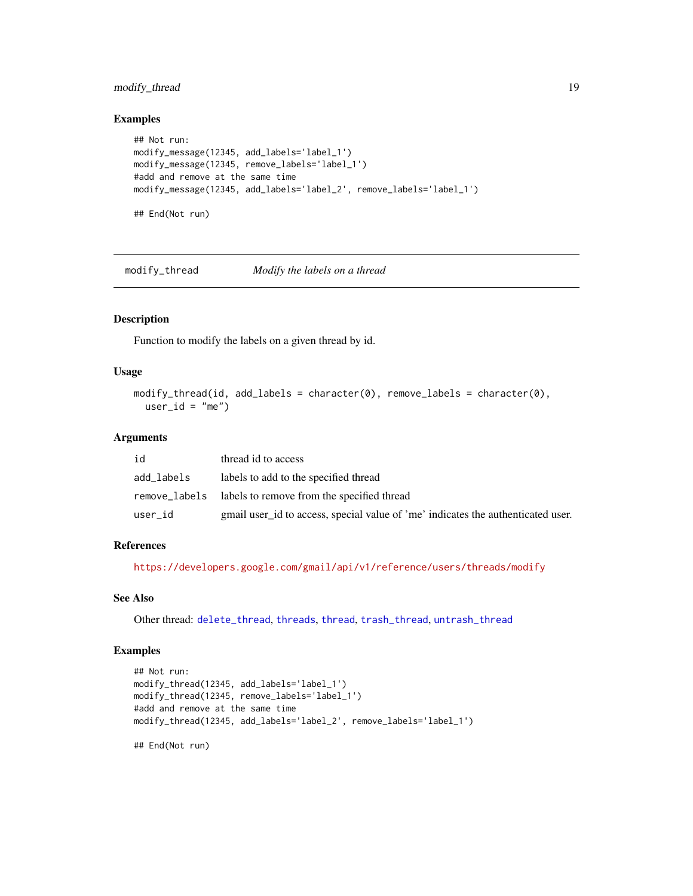## <span id="page-18-0"></span>modify\_thread 19

#### Examples

```
## Not run:
modify_message(12345, add_labels='label_1')
modify_message(12345, remove_labels='label_1')
#add and remove at the same time
modify_message(12345, add_labels='label_2', remove_labels='label_1')
## End(Not run)
```
<span id="page-18-1"></span>modify\_thread *Modify the labels on a thread*

#### Description

Function to modify the labels on a given thread by id.

#### Usage

```
modify_thread(id, add_labels = character(0), remove_labels = character(0),
 user_id = "me")
```
#### Arguments

| id         | thread id to access                                                              |
|------------|----------------------------------------------------------------------------------|
| add_labels | labels to add to the specified thread                                            |
|            | remove_labels labels to remove from the specified thread                         |
| user_id    | gmail user id to access, special value of 'me' indicates the authenticated user. |

#### References

<https://developers.google.com/gmail/api/v1/reference/users/threads/modify>

#### See Also

Other thread: [delete\\_thread](#page-6-2), [threads](#page-23-1), [thread](#page-22-1), [trash\\_thread](#page-25-1), [untrash\\_thread](#page-26-2)

#### Examples

```
## Not run:
modify_thread(12345, add_labels='label_1')
modify_thread(12345, remove_labels='label_1')
#add and remove at the same time
modify_thread(12345, add_labels='label_2', remove_labels='label_1')
```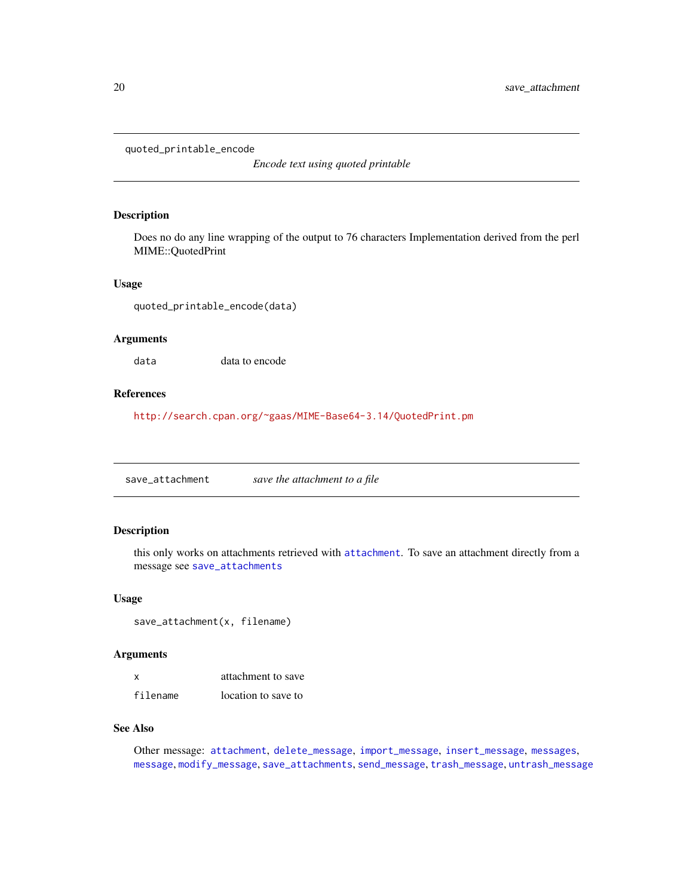<span id="page-19-0"></span>quoted\_printable\_encode

*Encode text using quoted printable*

#### Description

Does no do any line wrapping of the output to 76 characters Implementation derived from the perl MIME::QuotedPrint

#### Usage

quoted\_printable\_encode(data)

#### Arguments

data data to encode

#### References

<http://search.cpan.org/~gaas/MIME-Base64-3.14/QuotedPrint.pm>

<span id="page-19-1"></span>save\_attachment *save the attachment to a file*

# Description

this only works on attachments retrieved with [attachment](#page-2-1). To save an attachment directly from a message see [save\\_attachments](#page-20-1)

#### Usage

save\_attachment(x, filename)

#### Arguments

| x        | attachment to save  |
|----------|---------------------|
| filename | location to save to |

#### See Also

Other message: [attachment](#page-2-1), [delete\\_message](#page-6-1), [import\\_message](#page-11-1), [insert\\_message](#page-12-1), [messages](#page-15-1), [message](#page-14-1), [modify\\_message](#page-17-1), [save\\_attachments](#page-20-1), [send\\_message](#page-21-1), [trash\\_message](#page-24-1), [untrash\\_message](#page-26-1)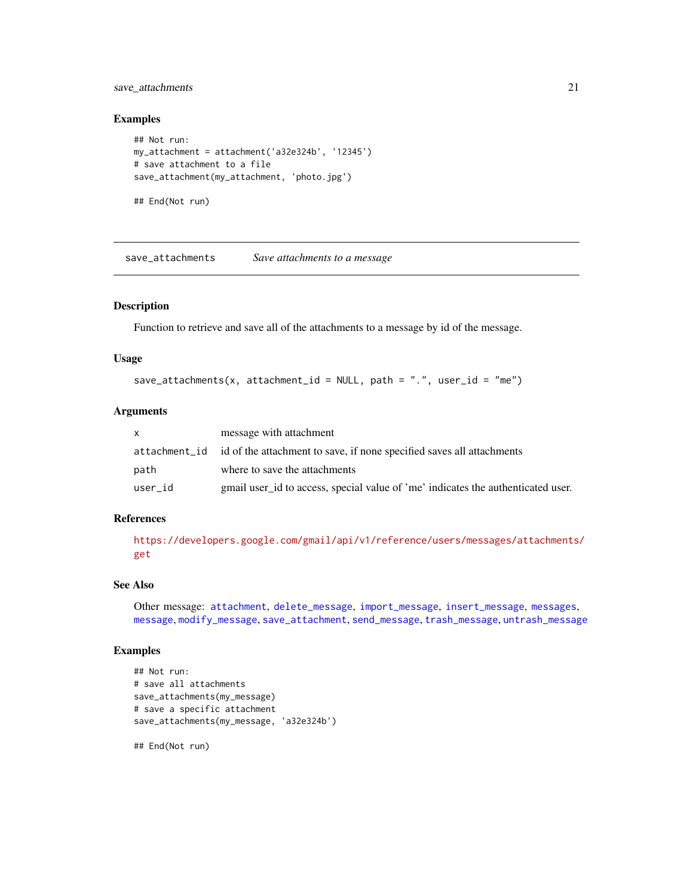## <span id="page-20-0"></span>save\_attachments 21

#### Examples

```
## Not run:
my_attachment = attachment('a32e324b', '12345')
# save attachment to a file
save_attachment(my_attachment, 'photo.jpg')
```
## End(Not run)

<span id="page-20-1"></span>save\_attachments *Save attachments to a message*

#### Description

Function to retrieve and save all of the attachments to a message by id of the message.

#### Usage

```
save_attachments(x, attachment_id = NULL, path = ".", user_id = "me")
```
#### Arguments

|         | message with attachment                                                             |
|---------|-------------------------------------------------------------------------------------|
|         | attachment id id of the attachment to save, if none specified saves all attachments |
| path    | where to save the attachments                                                       |
| user id | gmail user id to access, special value of 'me' indicates the authenticated user.    |

#### References

[https://developers.google.com/gmail/api/v1/reference/users/messages/attachments/](https://developers.google.com/gmail/api/v1/reference/users/messages/attachments/get) [get](https://developers.google.com/gmail/api/v1/reference/users/messages/attachments/get)

#### See Also

```
Other message: attachment, delete_message, import_message, insert_message, messages,
message, modify_message, save_attachment, send_message, trash_message, untrash_message
```
#### Examples

```
## Not run:
# save all attachments
save_attachments(my_message)
# save a specific attachment
save_attachments(my_message, 'a32e324b')
```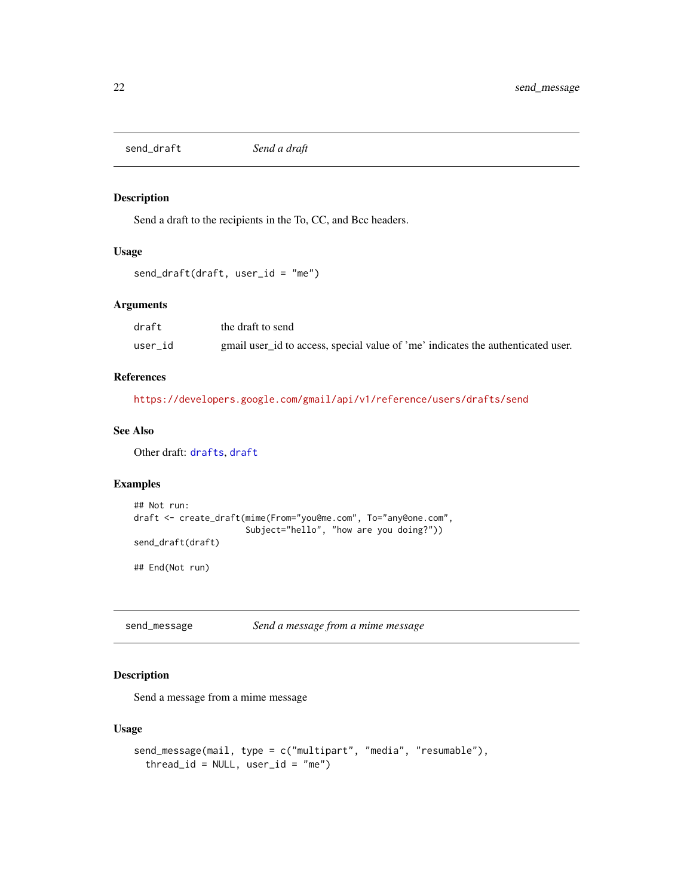<span id="page-21-2"></span><span id="page-21-0"></span>send\_draft *Send a draft*

## Description

Send a draft to the recipients in the To, CC, and Bcc headers.

#### Usage

send\_draft(draft, user\_id = "me")

#### Arguments

| draft   | the draft to send                                                                |
|---------|----------------------------------------------------------------------------------|
| user id | gmail user_id to access, special value of 'me' indicates the authenticated user. |

#### References

<https://developers.google.com/gmail/api/v1/reference/users/drafts/send>

#### See Also

Other draft: [drafts](#page-8-1), [draft](#page-7-1)

# Examples

```
## Not run:
draft <- create_draft(mime(From="you@me.com", To="any@one.com",
                      Subject="hello", "how are you doing?"))
send_draft(draft)
```
## End(Not run)

<span id="page-21-1"></span>send\_message *Send a message from a mime message*

# Description

Send a message from a mime message

#### Usage

```
send_message(mail, type = c("multipart", "media", "resumable"),
  thread_id = NULL, user_id = "me")
```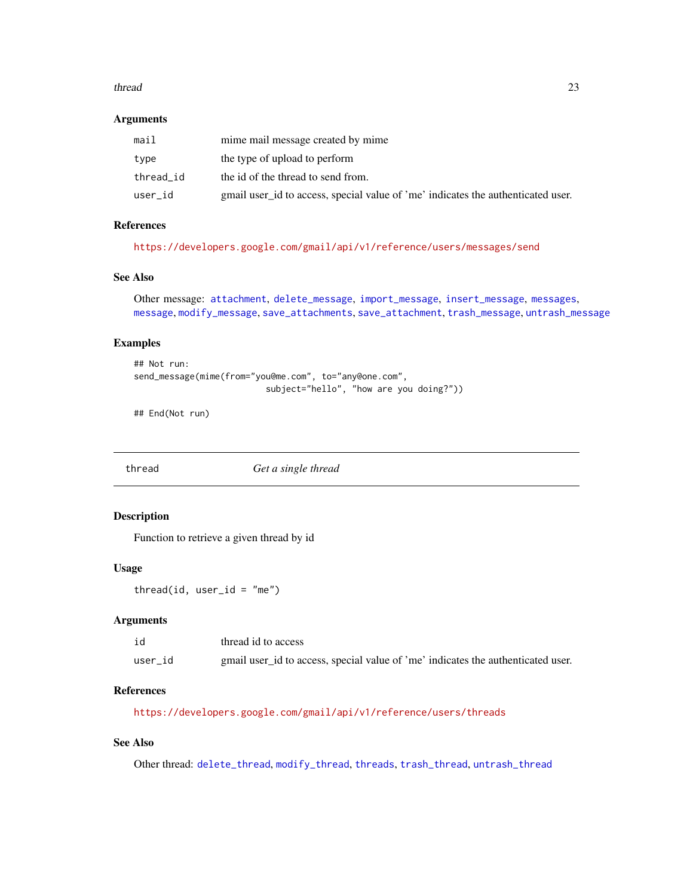#### <span id="page-22-0"></span>thread 23

#### Arguments

| mail      | mime mail message created by mime                                                |
|-----------|----------------------------------------------------------------------------------|
| type      | the type of upload to perform                                                    |
| thread id | the id of the thread to send from.                                               |
| user_id   | gmail user id to access, special value of 'me' indicates the authenticated user. |

# References

<https://developers.google.com/gmail/api/v1/reference/users/messages/send>

#### See Also

```
Other message: attachment, delete_message, import_message, insert_message, messages,
message, modify_message, save_attachments, save_attachment, trash_message, untrash_message
```
#### Examples

```
## Not run:
send_message(mime(from="you@me.com", to="any@one.com",
                          subject="hello", "how are you doing?"))
```
## End(Not run)

<span id="page-22-1"></span>thread *Get a single thread*

#### Description

Function to retrieve a given thread by id

#### Usage

thread(id, user\_id =  $"me"$ )

#### Arguments

| id      | thread id to access                                                              |
|---------|----------------------------------------------------------------------------------|
| user id | gmail user_id to access, special value of 'me' indicates the authenticated user. |

#### References

<https://developers.google.com/gmail/api/v1/reference/users/threads>

#### See Also

Other thread: [delete\\_thread](#page-6-2), [modify\\_thread](#page-18-1), [threads](#page-23-1), [trash\\_thread](#page-25-1), [untrash\\_thread](#page-26-2)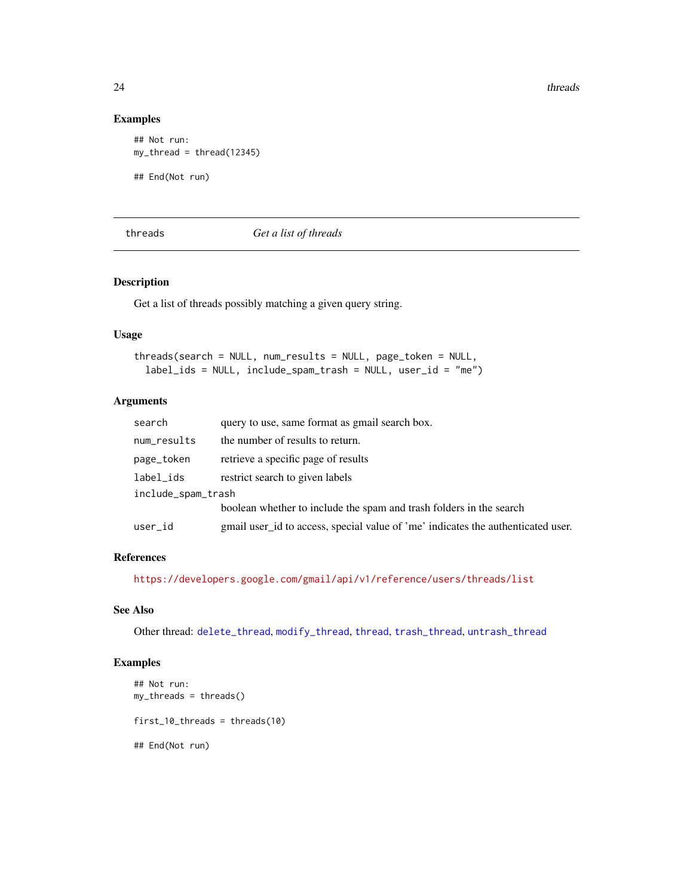24 threads and the contract of the contract of the contract of the contract of the contract of the contract of the contract of the contract of the contract of the contract of the contract of the contract of the contract of

#### Examples

```
## Not run:
my_thread = thread(12345)
## End(Not run)
```
<span id="page-23-1"></span>threads *Get a list of threads*

#### Description

Get a list of threads possibly matching a given query string.

## Usage

```
threads(search = NULL, num_results = NULL, page_token = NULL,
 label_ids = NULL, include_spam_trash = NULL, user_id = "me")
```
# Arguments

| search             | query to use, same format as gmail search box.                                   |  |  |
|--------------------|----------------------------------------------------------------------------------|--|--|
| num_results        | the number of results to return.                                                 |  |  |
| page_token         | retrieve a specific page of results                                              |  |  |
| label_ids          | restrict search to given labels                                                  |  |  |
| include_spam_trash |                                                                                  |  |  |
|                    | boolean whether to include the spam and trash folders in the search              |  |  |
| user_id            | gmail user id to access, special value of 'me' indicates the authenticated user. |  |  |

#### References

<https://developers.google.com/gmail/api/v1/reference/users/threads/list>

# See Also

Other thread: [delete\\_thread](#page-6-2), [modify\\_thread](#page-18-1), [thread](#page-22-1), [trash\\_thread](#page-25-1), [untrash\\_thread](#page-26-2)

#### Examples

```
## Not run:
my_threads = threads()
first_10_threads = threads(10)
## End(Not run)
```
<span id="page-23-0"></span>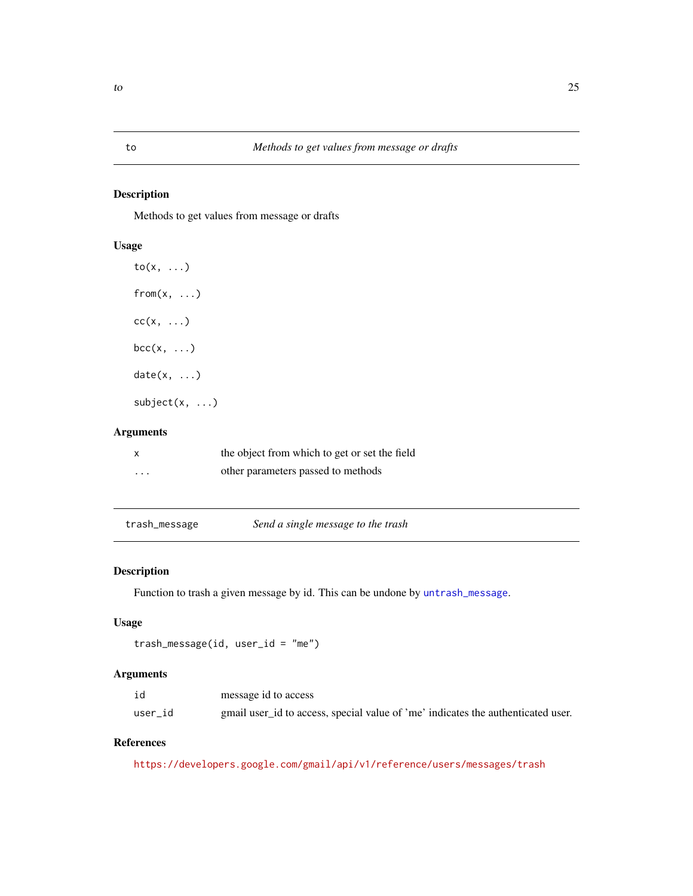<span id="page-24-0"></span>Methods to get values from message or drafts

## Usage

to(x, ...)  $from(x, \ldots)$  $cc(x, \ldots)$  $bcc(x, \ldots)$  $date(x, \ldots)$ subject(x, ...)

#### Arguments

| x        | the object from which to get or set the field |
|----------|-----------------------------------------------|
| $\cdots$ | other parameters passed to methods            |

<span id="page-24-1"></span>trash\_message *Send a single message to the trash*

## Description

Function to trash a given message by id. This can be undone by [untrash\\_message](#page-26-1).

### Usage

```
trash_message(id, user_id = "me")
```
#### Arguments

| id      | message id to access                                                             |
|---------|----------------------------------------------------------------------------------|
| user id | gmail user_id to access, special value of 'me' indicates the authenticated user. |

#### References

<https://developers.google.com/gmail/api/v1/reference/users/messages/trash>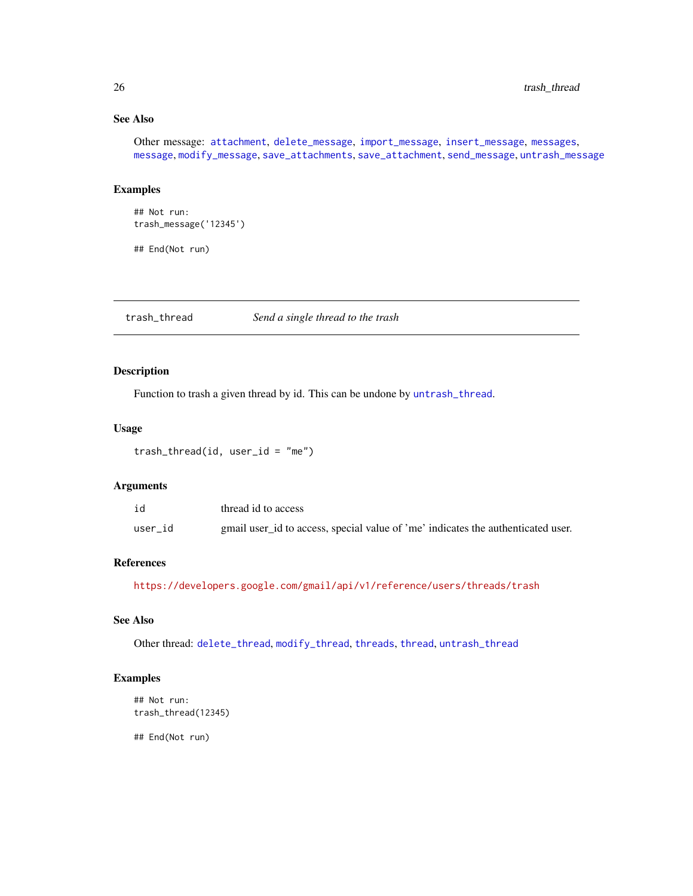# See Also

Other message: [attachment](#page-2-1), [delete\\_message](#page-6-1), [import\\_message](#page-11-1), [insert\\_message](#page-12-1), [messages](#page-15-1), [message](#page-14-1), [modify\\_message](#page-17-1), [save\\_attachments](#page-20-1), [save\\_attachment](#page-19-1), [send\\_message](#page-21-1), [untrash\\_message](#page-26-1)

#### Examples

```
## Not run:
trash_message('12345')
```
## End(Not run)

<span id="page-25-1"></span>trash\_thread *Send a single thread to the trash*

#### Description

Function to trash a given thread by id. This can be undone by [untrash\\_thread](#page-26-2).

#### Usage

 $transh_{\text{thread}}(id, user_id = "me")$ 

#### Arguments

| id      | thread id to access                                                              |
|---------|----------------------------------------------------------------------------------|
| user id | gmail user_id to access, special value of 'me' indicates the authenticated user. |

#### References

<https://developers.google.com/gmail/api/v1/reference/users/threads/trash>

#### See Also

Other thread: [delete\\_thread](#page-6-2), [modify\\_thread](#page-18-1), [threads](#page-23-1), [thread](#page-22-1), [untrash\\_thread](#page-26-2)

#### Examples

```
## Not run:
trash_thread(12345)
```
<span id="page-25-0"></span>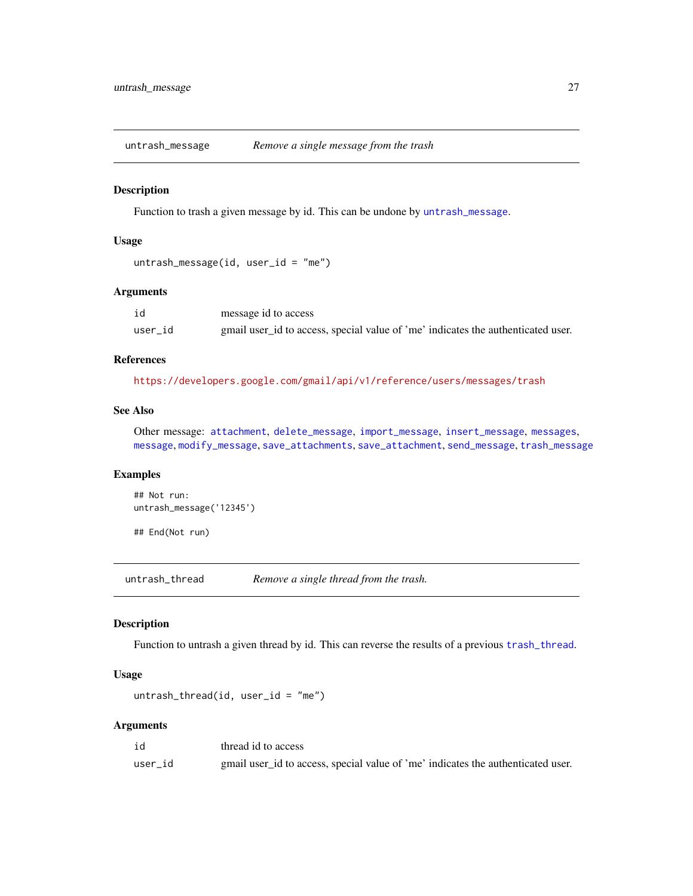<span id="page-26-1"></span><span id="page-26-0"></span>

Function to trash a given message by id. This can be undone by [untrash\\_message](#page-26-1).

#### Usage

```
untrash_message(id, user_id = "me")
```
#### Arguments

| id      | message id to access                                                             |
|---------|----------------------------------------------------------------------------------|
| user id | gmail user_id to access, special value of 'me' indicates the authenticated user. |

#### References

<https://developers.google.com/gmail/api/v1/reference/users/messages/trash>

# See Also

Other message: [attachment](#page-2-1), [delete\\_message](#page-6-1), [import\\_message](#page-11-1), [insert\\_message](#page-12-1), [messages](#page-15-1), [message](#page-14-1), [modify\\_message](#page-17-1), [save\\_attachments](#page-20-1), [save\\_attachment](#page-19-1), [send\\_message](#page-21-1), [trash\\_message](#page-24-1)

# Examples

```
## Not run:
untrash_message('12345')
```
## End(Not run)

<span id="page-26-2"></span>untrash\_thread *Remove a single thread from the trash.*

#### Description

Function to untrash a given thread by id. This can reverse the results of a previous [trash\\_thread](#page-25-1).

#### Usage

```
untrash_{th}read(id, user_id = "me")
```
#### Arguments

| id      | thread id to access                                                              |
|---------|----------------------------------------------------------------------------------|
| user id | gmail user_id to access, special value of 'me' indicates the authenticated user. |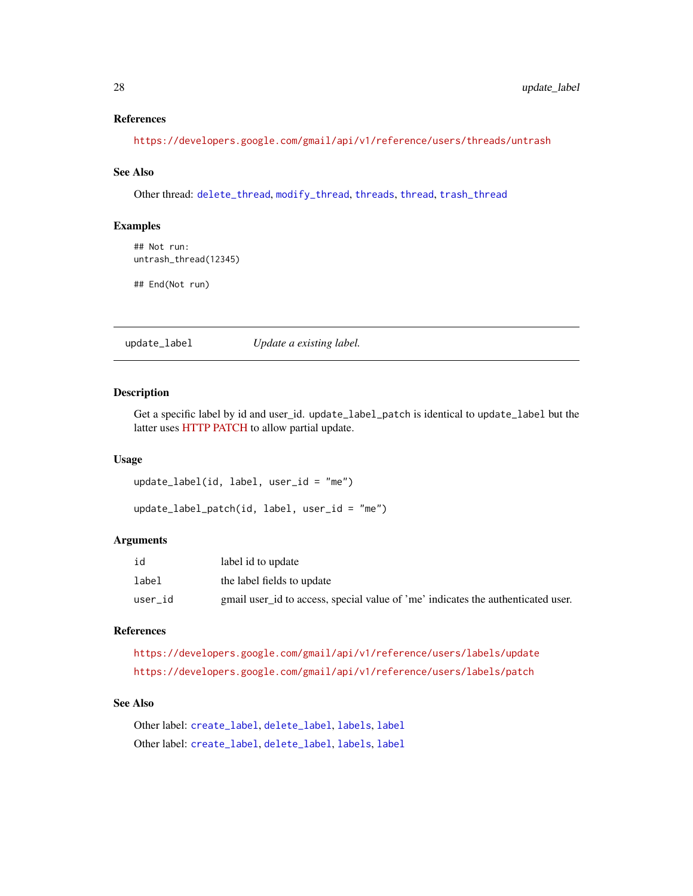#### <span id="page-27-0"></span>References

<https://developers.google.com/gmail/api/v1/reference/users/threads/untrash>

#### See Also

Other thread: [delete\\_thread](#page-6-2), [modify\\_thread](#page-18-1), [threads](#page-23-1), [thread](#page-22-1), [trash\\_thread](#page-25-1)

#### Examples

## Not run: untrash\_thread(12345)

## End(Not run)

<span id="page-27-1"></span>update\_label *Update a existing label.*

#### Description

Get a specific label by id and user\_id. update\_label\_patch is identical to update\_label but the latter uses [HTTP PATCH](http://tools.ietf.org/html/rfc5789) to allow partial update.

#### Usage

```
update_label(id, label, user_id = "me")
```

```
update_label_patch(id, label, user_id = "me")
```
#### Arguments

| id      | label id to update                                                               |
|---------|----------------------------------------------------------------------------------|
| label   | the label fields to update                                                       |
| user id | gmail user_id to access, special value of 'me' indicates the authenticated user. |

#### References

```
https://developers.google.com/gmail/api/v1/reference/users/labels/update
https://developers.google.com/gmail/api/v1/reference/users/labels/patch
```
# See Also

Other label: [create\\_label](#page-4-1), [delete\\_label](#page-5-1), [labels](#page-13-1), [label](#page-13-2) Other label: [create\\_label](#page-4-1), [delete\\_label](#page-5-1), [labels](#page-13-1), [label](#page-13-2)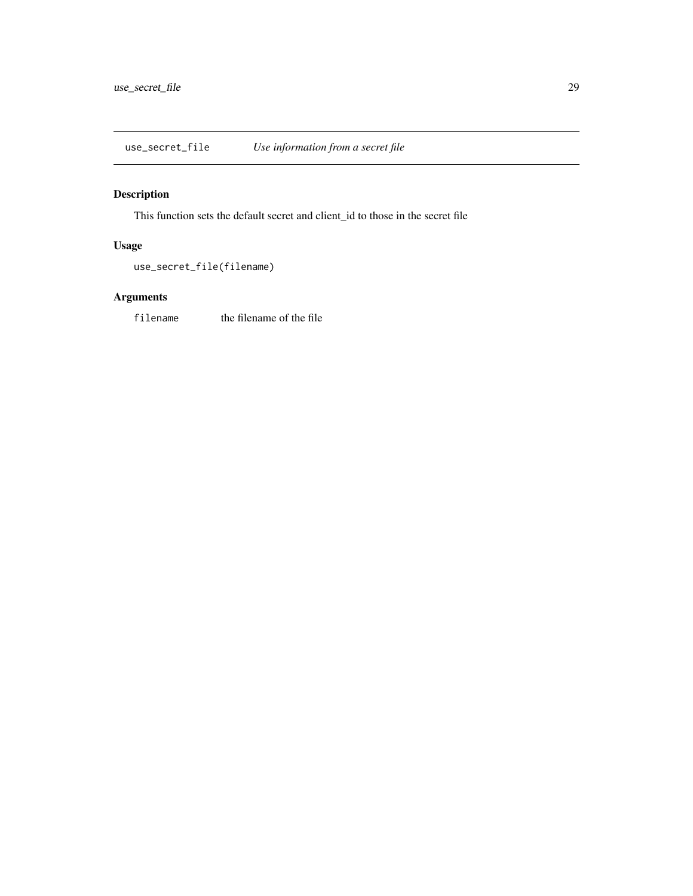<span id="page-28-0"></span>use\_secret\_file *Use information from a secret file*

# Description

This function sets the default secret and client\_id to those in the secret file

## Usage

```
use_secret_file(filename)
```
# Arguments

filename the filename of the file